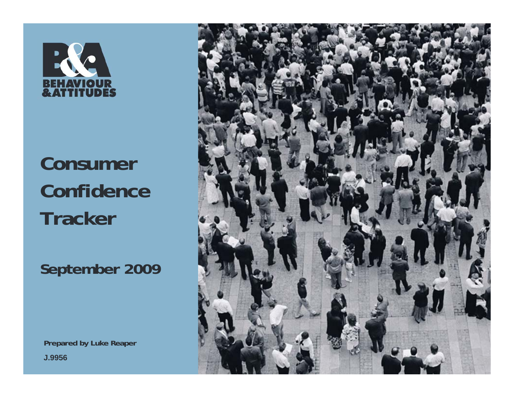

# **Consumer Confidence Tracker**

**September 2009**

**Prepared by Luke Reaper J.9956**

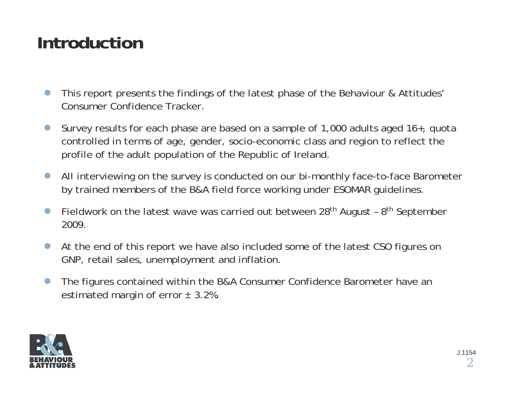## **Introduction**

- $\bullet$  This report presents the findings of the latest phase of the Behaviour & Attitudes' Consumer Confidence Tracker.
- $\bullet$  Survey results for each phase are based on a sample of 1,000 adults aged 16+, quota controlled in terms of age, gender, socio-economic class and region to reflect the profile of the adult population of the Republic of Ireland.
- $\bullet$  All interviewing on the survey is conducted on our bi-monthly face-to-face Barometer by trained members of the B&A field force working under ESOMAR guidelines.
- $\bullet$ Fieldwork on the latest wave was carried out between  $28<sup>th</sup>$  August -  $8<sup>th</sup>$  September 2009.
- $\bullet$  At the end of this report we have also included some of the latest CSO figures on GNP, retail sales, unemployment and inflation.
- $\bullet$  The figures contained within the B&A Consumer Confidence Barometer have an estimated margin of error  $\pm$  3.2%.

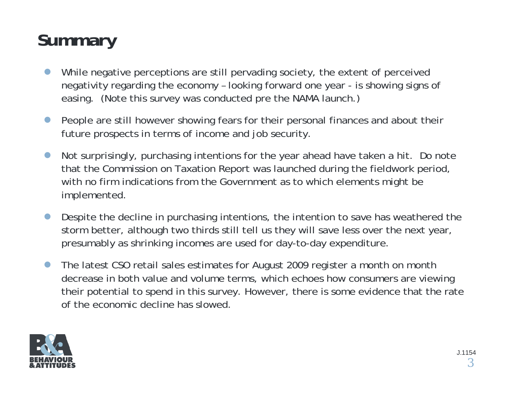# **Summary**

- $\bullet$  While negative perceptions are still pervading society, the extent of perceived negativity regarding the economy – looking forward one year - is showing signs of easing. (Note this survey was conducted pre the NAMA launch.)
- $\bullet$  People are still however showing fears for their personal finances and about their future prospects in terms of income and job security.
- $\bullet$  Not surprisingly, purchasing intentions for the year ahead have taken a hit. Do note that the Commission on Taxation Report was launched during the fieldwork period, with no firm indications from the Government as to which elements might be implemented.
- $\bullet$  Despite the decline in purchasing intentions, the intention to save has weathered the storm better, although two thirds still tell us they will save less over the next year, presumably as shrinking incomes are used for day-to-day expenditure.
- $\bullet$  The latest CSO retail sales estimates for August 2009 register a month on month decrease in both value and volume terms, which echoes how consumers are viewing their potential to spend in this survey. However, there is some evidence that the rate of the economic decline has slowed.

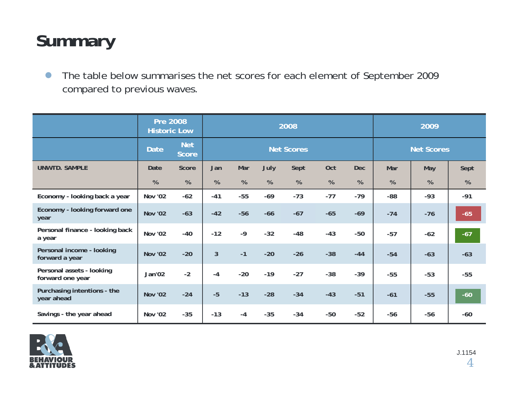## **Summary**

 $\bullet$  The table below summarises the net scores for each element of September 2009 compared to previous waves.

|                                               | <b>Pre 2008</b><br><b>Historic Low</b> |                            | 2008              |       |       |       |       | 2009              |       |       |       |
|-----------------------------------------------|----------------------------------------|----------------------------|-------------------|-------|-------|-------|-------|-------------------|-------|-------|-------|
|                                               | <b>Date</b>                            | <b>Net</b><br><b>Score</b> | <b>Net Scores</b> |       |       |       |       | <b>Net Scores</b> |       |       |       |
| <b>UNWTD. SAMPLE</b>                          | Date                                   | Score                      | Jan               | Mar   | July  | Sept  | Oct   | <b>Dec</b>        | Mar   | May   | Sept  |
|                                               | $\%$                                   | %                          | %                 | %     | %     | %     | %     | %                 | %     | %     | %     |
| Economy - looking back a year                 | <b>Nov '02</b>                         | $-62$                      | $-41$             | $-55$ | $-69$ | $-73$ | $-77$ | $-79$             | $-88$ | $-93$ | $-91$ |
| Economy - looking forward one<br>year         | <b>Nov '02</b>                         | $-63$                      | $-42$             | $-56$ | $-66$ | $-67$ | $-65$ | $-69$             | $-74$ | $-76$ | $-65$ |
| Personal finance - looking back<br>a year     | <b>Nov '02</b>                         | $-40$                      | $-12$             | $-9$  | $-32$ | $-48$ | $-43$ | $-50$             | $-57$ | $-62$ | $-67$ |
| Personal income - looking<br>forward a year   | <b>Nov '02</b>                         | $-20$                      | 3                 | $-1$  | $-20$ | $-26$ | $-38$ | $-44$             | $-54$ | $-63$ | $-63$ |
| Personal assets - looking<br>forward one year | Jan'02                                 | $-2$                       | $-4$              | $-20$ | $-19$ | $-27$ | $-38$ | $-39$             | $-55$ | $-53$ | $-55$ |
| Purchasing intentions - the<br>year ahead     | <b>Nov '02</b>                         | $-24$                      | $-5$              | $-13$ | $-28$ | $-34$ | $-43$ | $-51$             | $-61$ | $-55$ | $-60$ |
| Savings - the year ahead                      | <b>Nov '02</b>                         | $-35$                      | $-13$             | $-4$  | $-35$ | $-34$ | $-50$ | $-52$             | $-56$ | $-56$ | $-60$ |

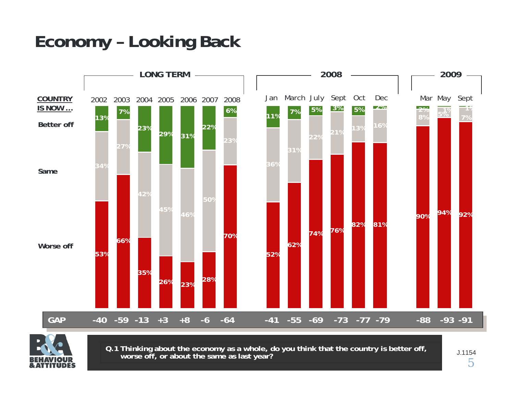## **Economy – Looking Back**





**Q.1 Thinking about the economy as a whole, do you think that the country is better off, worse off, or about the same as last year?**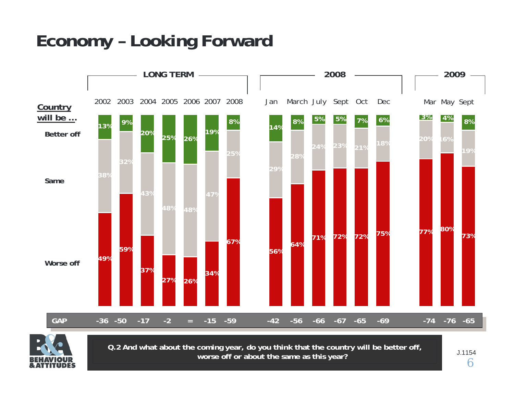## **Economy – Looking Forward**





**Q.2 And what about the coming year, do you think that the country will be better off, worse off or about the same as this year?**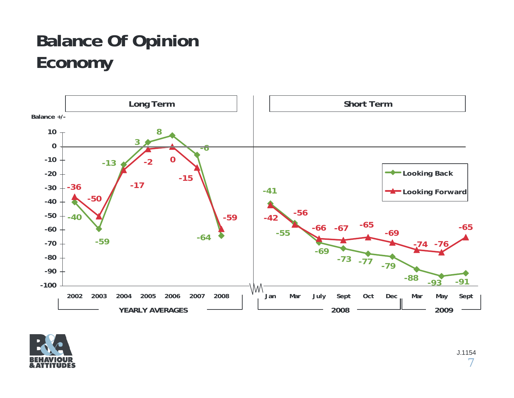## **Balance Of Opinion Economy**



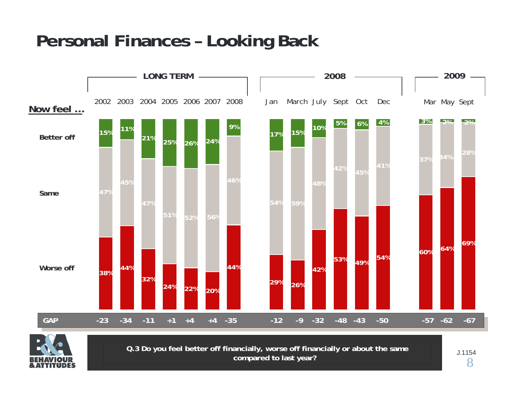## **Personal Finances – Looking Back**





**Q.3 Do you feel better off financially, worse off financially or about the same compared to last year?**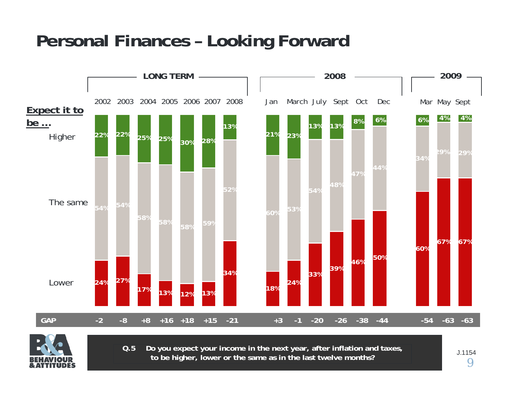## **Personal Finances – Looking Forward**





**Q.5**Do you expect your income in the next year, after inflation and taxes,  $\,$ **to be higher, lower or the same as in the last twelve months?**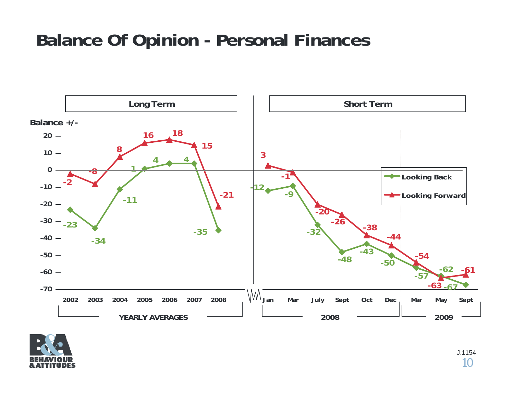## **Balance Of Opinion - Personal Finances**



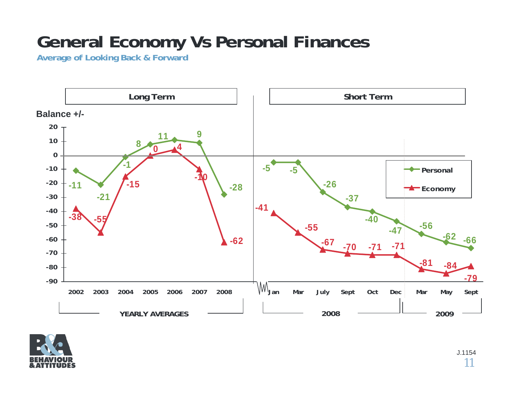## **General Economy Vs Personal Finances**

**Average of Looking Back & Forward**



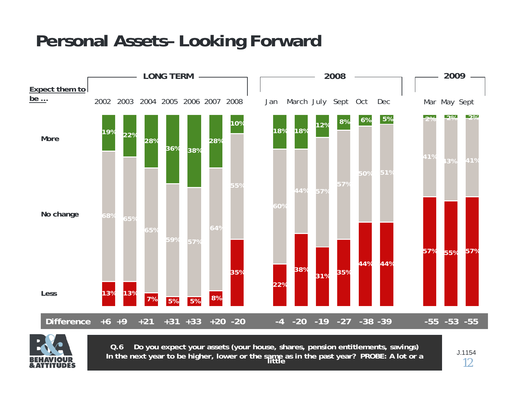## **Personal Assets– Looking Forward**





**Q.6 Do you expect your assets (your house, shares, pension entitlements, savings)**  In the next year to be higher, lower or the same as in the past year? PROBE: A lot or a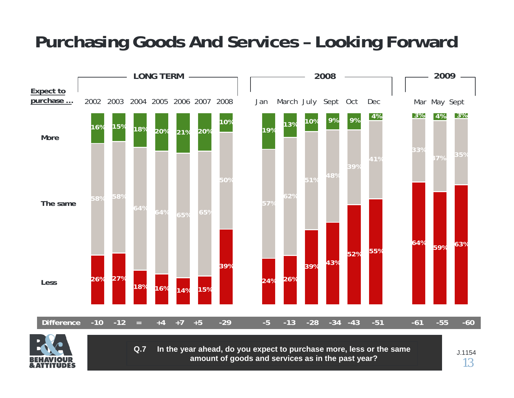## **Purchasing Goods And Services – Looking Forward**





**Q.7 In the year ahead, do you expect to purchase more, less or the same amount of goods and services as in the past year?**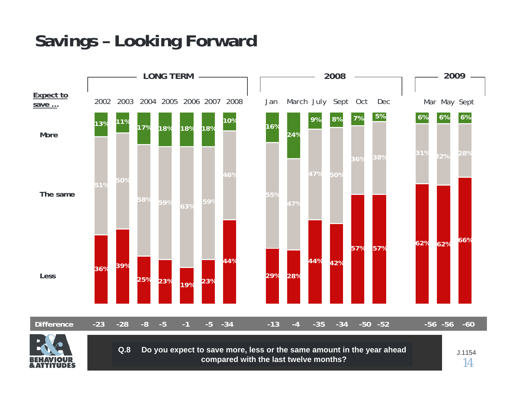## **Savings – Looking Forward**



**compared with the last twelve months?**

14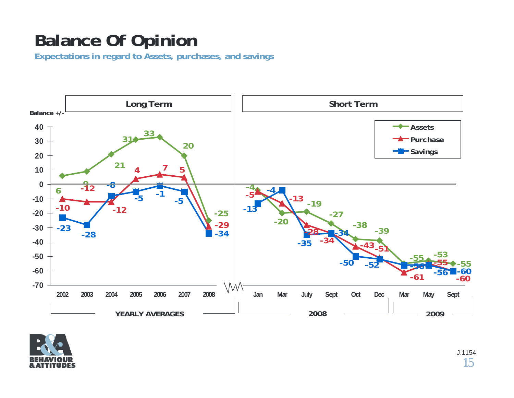## **Balance Of Opinion**

**Expectations in regard to Assets, purchases, and savings**



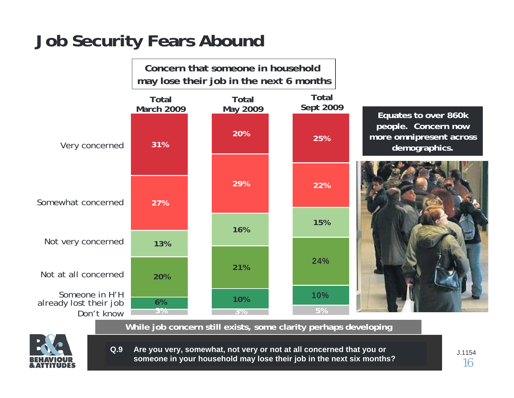## **Job Security Fears Abound**





**While job concern still exists, some clarity perhaps developing**



**Q.9 Are you very, somewhat, not very or not at all concerned that you or someone in your household may lose their job in the next six months?**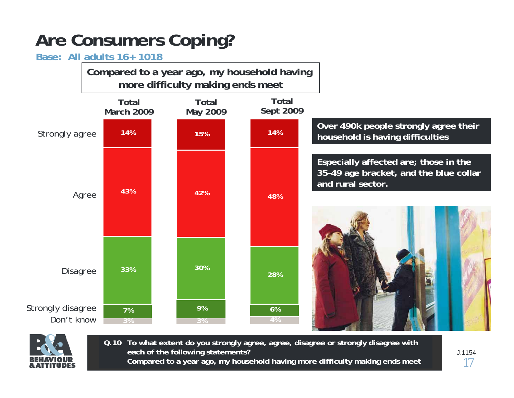## **Are Consumers Coping?**

### **Base: All adults 16+ 1018**

**Compared to a year ago, my household having more difficulty making ends meet**





**Q.10 To what extent do you strongly agree, agree, disagree or strongly disagree with each of the following statements? Compared to a year ago, my household having more difficulty making ends meet**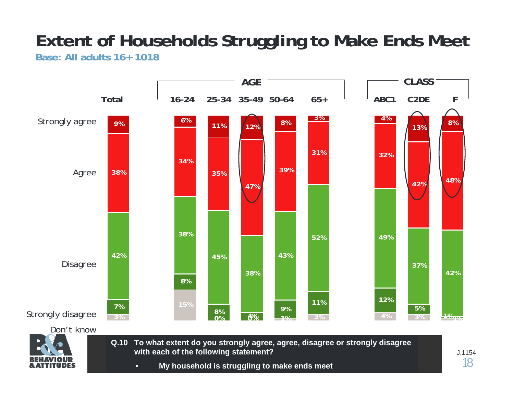### **Extent of Households Struggling to Make Ends Meet Base: All adults 16+ 1018**



**Q.10 To what extent do you strongly agree, agree, disagree or strongly disagree with each of the following statement?**

• **My household is struggling to make ends meet**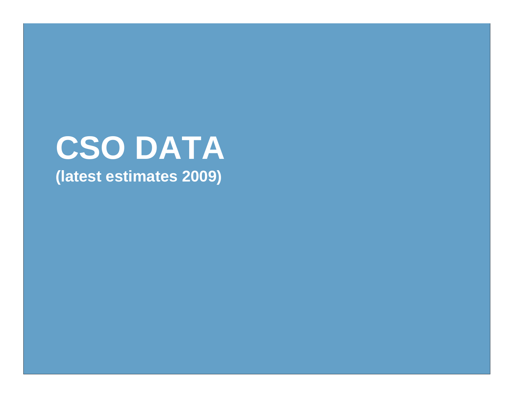# **CSO DATA (latest estimates 2009)**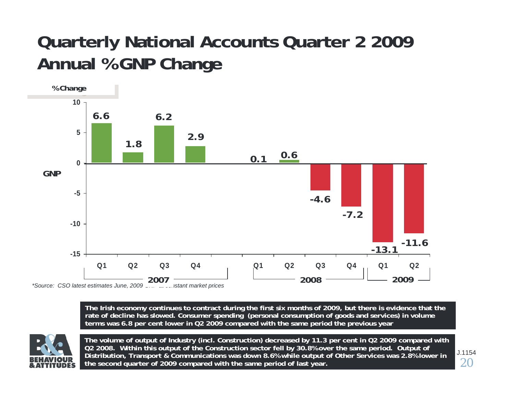## **Quarterly National Accounts Quarter 2 2009 Annual % GNP Change**



The Irish economy continues to contract during the first six months of 2009, but there is evidence that the rate of decline has slowed. Consumer spending (personal consumption of goods and services) in volume **terms was 6.8 p er cent lower in Q2 2009 compared with the same p eriod t he previous year**



**The volume of output of Industry (incl. Construction) decreased by 11.3 per cent in Q2 2009 com pared with Q2 2008. Within this output of the Construction sector fell by 30.8% over the same period. Output of Distribution, Transport & Communications was d own 8.6% while output of Other Services was 2.8% lower in the second quarter of 2009 com pared with the same period of last year.**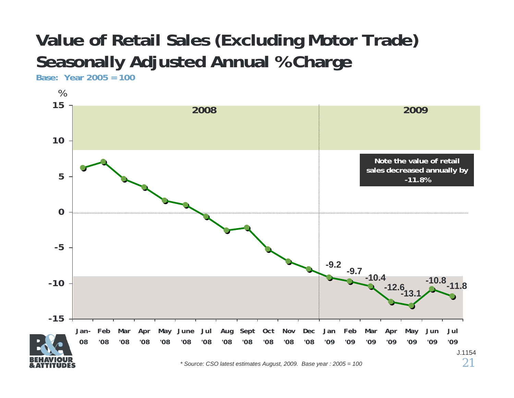## **Value of Retail Sales (Excluding Motor Trade) Seasonally Adjusted Annual % Charge**

**Base: Year 2005 = 100**

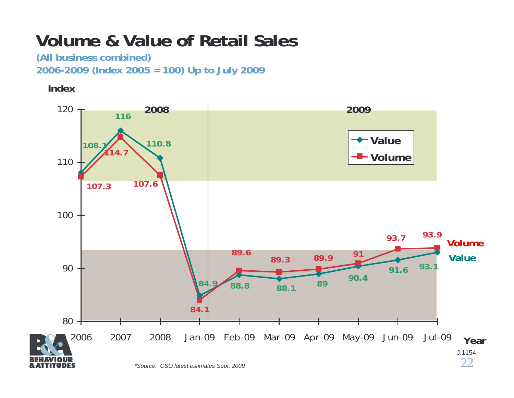## **Volume & Value of Retail Sales**

**(All business combined) 2006-2009 (Index 2005 = 100) Up to July 2009**

**Index**

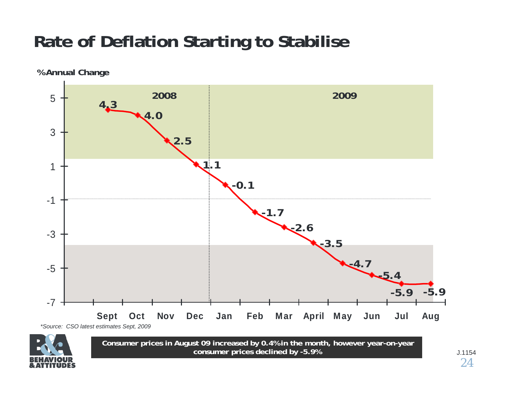## **Rate of Deflation Starting to Stabilise**

**% Annual Change**





**Consumer prices in August 09 increased by 0.4% i n the month, however year-on-year consumer prices declined by -5.9%**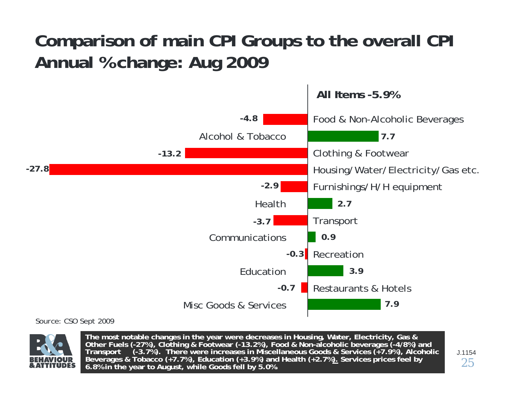## **Comparison of main CPI Groups to the overall CPI Annual % change: Aug 2009**



*Source: CSO Sept 2009*



The most notable changes in the year were decreases in Housing, Water, Electricity, Gas & Other Fuels (-27%), Clothing & Footwear (-13.2%), Food & Non-alcoholic beverages (-4/8%) and Transport (-3.7%). There were increase **6.8% in the year to August, while Goods fell by 5.0%.**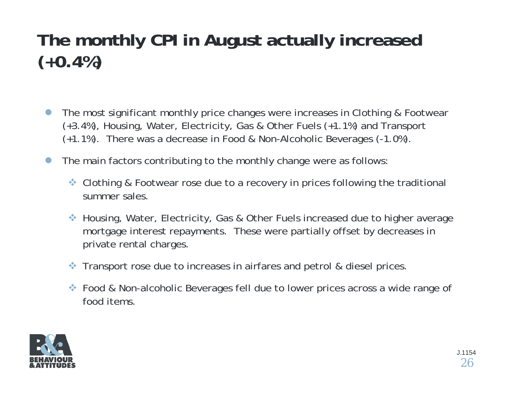## **The monthly CPI in August actually increased (+0.4%)**

- $\bullet$  The most significant monthly price changes were increases in Clothing & Footwear (+3.4%), Housing, Water, Electricity, Gas & Other Fuels (+1.1%) and Transport (+1.1%). There was a decrease in Food & Non-Alcoholic Beverages (-1.0%).
- $\bullet$  The main factors contributing to the monthly change were as follows:
	- ◆ Clothing & Footwear rose due to a recovery in prices following the traditional summer sales.
	- Housing, Water, Electricity, Gas & Other Fuels increased due to higher average mortgage interest repayments. These were partially offset by decreases in private rental charges.
	- 察 Transport rose due to increases in airfares and petrol & diesel prices.
	- ◆ Food & Non-alcoholic Beverages fell due to lower prices across a wide range of food items.

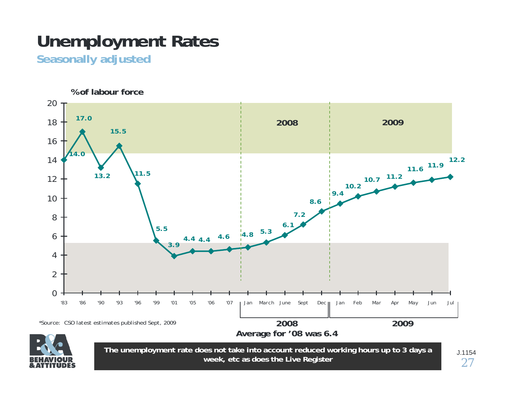## **Unemployment Rates**

**Seasonally adjusted**



**week, etc as does the Live Register**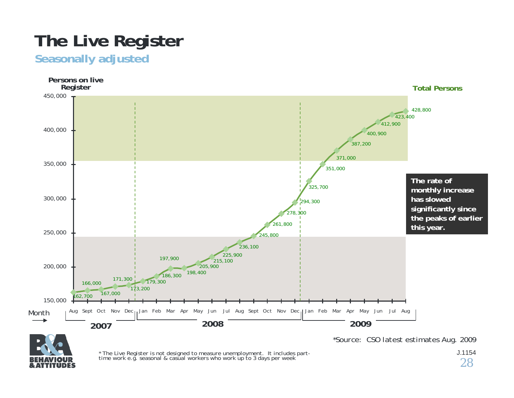## **The Live Register**

### **Seasonally adjusted**





*\* The Live Register is not designed to measure unemployment. It includes part- time work e.g. seasonal & casual workers who work up to 3 days per week*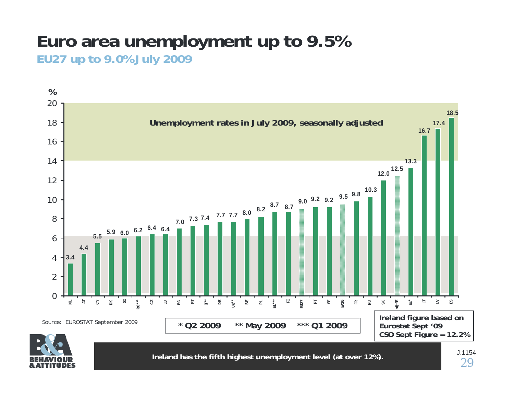### **Euro area unemployment up to 9.5% EU27 up to 9.0% July 2009**



**Ireland has the fifth highest unemployment level (at over 12%).**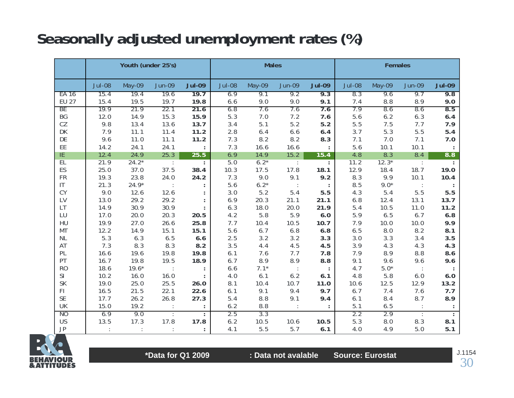## **Seasonally adjusted unemployment rates (%)**

|               |               | Youth (under 25's) |               |               | <b>Males</b><br><b>Females</b> |             |               |               |               |            |               |               |
|---------------|---------------|--------------------|---------------|---------------|--------------------------------|-------------|---------------|---------------|---------------|------------|---------------|---------------|
|               | <b>Jul-08</b> | May-09             | <b>Jun-09</b> | <b>Jul-09</b> | <b>Jul-08</b>                  | May-09      | <b>Jun-09</b> | <b>Jul-09</b> | <b>Jul-08</b> | May-09     | <b>Jun-09</b> | <b>Jul-09</b> |
| EA 16         | 15.4          | 19.4               | 19.6          | 19.7          | 6.9                            | 9.1         | 9.2           | 9.3           | 8.3           | 9.6        | 9.7           | 9.8           |
| <b>EU 27</b>  | 15.4          | 19.5               | 19.7          | 19.8          | 6.6                            | 9.0         | 9.0           | 9.1           | 7.4           | 8.8        | 8.9           | 9.0           |
| BE            | 19.9          | 21.9               | 22.1          | 21.6          | 6.8                            | 7.6         | 7.6           | 7.6           | 7.9           | 8.6        | 8.6           | 8.5           |
| BG            | 12.0          | 14.9               | 15.3          | 15.9          | 5.3                            | 7.0         | 7.2           | 7.6           | 5.6           | 6.2        | 6.3           | 6.4           |
| CZ            | 9.8           | 13.4               | 13.6          | 13.7          | 3.4                            | 5.1         | 5.2           | 5.2           | 5.5           | 7.5        | 7.7           | 7.9           |
| DK            | 7.9           | 11.1               | 11.4          | 11.2          | 2.8                            | 6.4         | 6.6           | 6.4           | 3.7           | 5.3        | 5.5           | 5.4           |
| DE            | 9.6           | 11.0               | 11.1          | 11.2          | 7.3                            | 8.2         | 8.2           | 8.3           | 7.1           | 7.0        | 7.1           | 7.0           |
| EE            | 14.2          | 24.1               | 24.1          |               | 7.3                            | 16.6        | 16.6          |               | 5.6           | 10.1       | 10.1          |               |
| ΙE            | 12.4          | 24.9               | 25.3          | 25.5          | 6.9                            | 14.9        | 15.2          | 15.4          | 4.8           | 8.3        | 8.4           | 8.8           |
| EL            | 21.9          | $24.2*$            | $\sim 1$      |               | 5.0                            | $6.2*$      | $\cdot$       | ÷             | 11.2          | $12.3*$    | $\sim 1$      |               |
| ES            | 25.0          | 37.0               | 37.5          | 38.4          | 10.3                           | 17.5        | 17.8          | 18.1          | 12.9          | 18.4       | 18.7          | 19.0          |
| <b>FR</b>     | 19.3          | 23.8               | 24.0          | 24.2          | 7.3                            | 9.0         | 9.1           | 9.2           | 8.3           | 9.9        | 10.1          | 10.4          |
| IT.           | 21.3          | $24.9*$            |               |               | 5.6                            | $6.2*$      |               |               | 8.5           | $9.0*$     |               |               |
| CY            | 9.0           | 12.6               | 12.6          |               | 3.0                            | 5.2         | 5.4           | 5.5           | 4.3           | 5.4        | 5.5           | 5.5           |
| LV            | 13.0          | 29.2               | 29.2          |               | 6.9                            | 20.3        | 21.1          | 21.1          | 6.8           | 12.4       | 13.1          | 13.7          |
| LT            | 14.9          | 30.9               | 30.9          |               | 6.3                            | 18.0        | 20.0          | 21.9          | 5.4           | 10.5       | 11.0          | 11.2          |
| LU            | 17.0          | 20.0               | 20.3          | 20.5          | 4.2                            | 5.8         | 5.9           | 6.0           | 5.9           | 6.5        | 6.7           | 6.8           |
| HU            | 19.9          | 27.0               | 26.6          | 25.8          | 7.7                            | 10.4        | 10.5          | 10.7          | 7.9           | 10.0       | 10.0          | 9.9           |
| MT            | 12.2          | 14.9               | 15.1          | 15.1          | 5.6                            | 6.7         | 6.8           | 6.8           | 6.5           | $8.0\,$    | 8.2           | 8.1           |
| $\sf NL$      | 5.3           | 6.3                | 6.5           | 6.6           | 2.5                            | 3.2         | 3.2           | 3.3           | 3.0           | 3.3        | 3.4           | 3.5           |
| AT            | 7.3           | 8.3                | 8.3           | 8.2           | 3.5                            | 4.4         | 4.5           | 4.5           | 3.9           | 4.3        | 4.3           | 4.3           |
| PL            | 16.6          | 19.6               | 19.8          | 19.8          | 6.1                            | 7.6         | 7.7           | 7.8           | 7.9           | 8.9        | 8.8           | 8.6           |
| PT            | 16.7          | 19.8               | 19.5          | 18.9          | 6.7                            | 8.9         | 8.9           | 8.8           | 9.1           | 9.6        | 9.6           | 9.6           |
| <b>RO</b>     | 18.6          | $19.6*$            |               |               | 6.6                            | $7.1*$      |               |               | 4.7           | $5.0*$     |               |               |
| SI            | 10.2          | 16.0               | 16.0          |               | 4.0                            | 6.1         | 6.2           | 6.1           | 4.8           | 5.8        | 6.0           | 6.0           |
| SK            | 19.0          | 25.0               | 25.5          | 26.0          | 8.1                            | 10.4        | 10.7          | 11.0          | 10.6          | 12.5       | 12.9          | 13.2          |
| FI.           | 16.5          | 21.5               | 22.1          | 22.6          | 6.1                            | 9.1         | 9.4           | 9.7           | 6.7           | 7.4        | 7.6           | 7.7           |
| <b>SE</b>     | 17.7          | 26.2               | 26.8          | 27.3          | 5.4                            | 8.8         | 9.1           | 9.4           | 6.1           | 8.4        | 8.7           | 8.9           |
| UK            | 15.0          | 19.2               |               |               | 6.2                            | 8.8         |               |               | 5.1           | 6.5        |               |               |
| NO<br>US      | 6.9<br>13.5   | 9.0<br>17.3        | 17.8          | 17.8          | 2.5<br>6.2                     | 3.3<br>10.5 |               | 10.5          | 2.2<br>5.3    | 2.9<br>8.0 | 8.3           | 8.1           |
| $\mathsf{JP}$ |               |                    |               |               |                                | 5.5         | 10.6<br>5.7   | 6.1           | 4.0           | 4.9        | 5.0           | 5.1           |
|               |               |                    |               |               | 4.1                            |             |               |               |               |            |               |               |



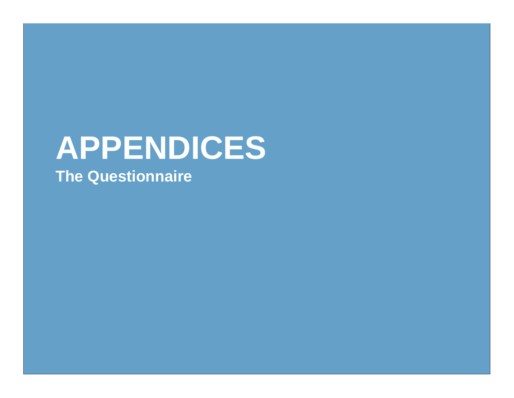# **APPENDICES The Questionnaire**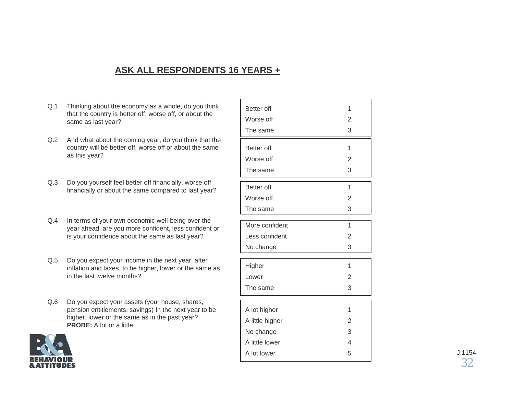#### **ASK ALL RESPONDENTS 16 YEARS +**

- Q.1 Thinking about the economy as a whole, do you think that the country is better off, worse off, or about the same as last year?
- Q.2 And what about the coming year, do you think that the country will be better off, worse off or about the same as this year?
- Q.3 Do you yourself feel better off financially, worse off financially or about the same compared to last year?
- Q.4 In terms of your own economic well-being over the year ahead, are you more confident, less confident or is your confidence about the same as last year?
- Q.5 Do you expect your income in the next year, after inflation and taxes, to be higher, lower or the same as in the last twelve months?
- Q.6 Do you expect your assets (your house, shares, pension entitlements, savings) In the next year to be higher, lower or the same as in the past year? **PROBE:** A lot or a little



| Better off<br>Worse off | 1<br>2<br>3              |
|-------------------------|--------------------------|
| The same                |                          |
| Better off              | 1                        |
| Worse off               | 2                        |
| The same                | 3                        |
| Better off              | 1                        |
| Worse off               | 2                        |
| The same                | 3                        |
| More confident          | $\overline{1}$           |
| Less confident          | 2                        |
| No change               | 3                        |
| Higher                  | 1                        |
| Lower                   | 2                        |
| The same                | 3                        |
| A lot higher            | 1                        |
| A little higher         | 2                        |
| No change               | 3                        |
| A little lower          | $\overline{\mathcal{A}}$ |
| A lot lower             | 5                        |